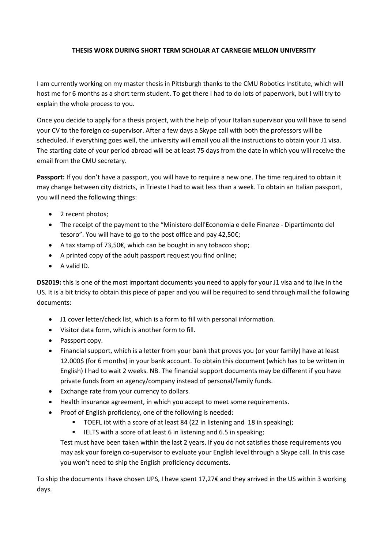# **THESIS WORK DURING SHORT TERM SCHOLAR AT CARNEGIE MELLON UNIVERSITY**

I am currently working on my master thesis in Pittsburgh thanks to the CMU Robotics Institute, which will host me for 6 months as a short term student. To get there I had to do lots of paperwork, but I will try to explain the whole process to you.

Once you decide to apply for a thesis project, with the help of your Italian supervisor you will have to send your CV to the foreign co-supervisor. After a few days a Skype call with both the professors will be scheduled. If everything goes well, the university will email you all the instructions to obtain your J1 visa. The starting date of your period abroad will be at least 75 days from the date in which you will receive the email from the CMU secretary.

**Passport:** If you don't have a passport, you will have to require a new one. The time required to obtain it may change between city districts, in Trieste I had to wait less than a week. To obtain an Italian passport, you will need the following things:

- 2 recent photos;
- The receipt of the payment to the "Ministero dell'Economia e delle Finanze Dipartimento del tesoro". You will have to go to the post office and pay 42,50€;
- A tax stamp of 73,50€, which can be bought in any tobacco shop;
- A printed copy of the adult passport request you find online;
- A valid ID.

**DS2019:** this is one of the most important documents you need to apply for your J1 visa and to live in the US. It is a bit tricky to obtain this piece of paper and you will be required to send through mail the following documents:

- J1 cover letter/check list, which is a form to fill with personal information.
- Visitor data form, which is another form to fill.
- Passport copy.
- Financial support, which is a letter from your bank that proves you (or your family) have at least 12.000\$ (for 6 months) in your bank account. To obtain this document (which has to be written in English) I had to wait 2 weeks. NB. The financial support documents may be different if you have private funds from an agency/company instead of personal/family funds.
- Exchange rate from your currency to dollars.
- Health insurance agreement, in which you accept to meet some requirements.
- Proof of English proficiency, one of the following is needed:
	- **TOEFL ibt with a score of at least 84 (22 in listening and 18 in speaking);**
	- IELTS with a score of at least 6 in listening and 6.5 in speaking;

Test must have been taken within the last 2 years. If you do not satisfies those requirements you may ask your foreign co-supervisor to evaluate your English level through a Skype call. In this case you won't need to ship the English proficiency documents.

To ship the documents I have chosen UPS, I have spent 17,27€ and they arrived in the US within 3 working days.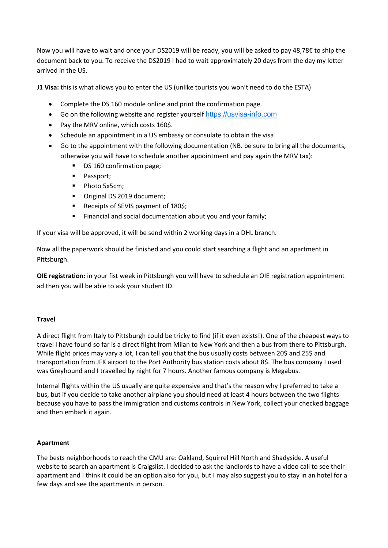Now you will have to wait and once your DS2019 will be ready, you will be asked to pay 48,78€ to ship the document back to you. To receive the DS2019 I had to wait approximately 20 days from the day my letter arrived in the US.

**J1 Visa:** this is what allows you to enter the US (unlike tourists you won't need to do the ESTA)

- Complete the DS 160 module online and print the confirmation page.
- Go on the following website and register yourself [https://usvisa-info.com](https://ais.usvisa-info.com/it-it/niv)
- Pay the MRV online, which costs 160\$.
- Schedule an appointment in a US embassy or consulate to obtain the visa
- Go to the appointment with the following documentation (NB. be sure to bring all the documents, otherwise you will have to schedule another appointment and pay again the MRV tax):
	- DS 160 confirmation page;
	- **Passport:**
	- Photo 5x5cm;
	- Original DS 2019 document;
	- Receipts of SEVIS payment of 180\$;
	- Financial and social documentation about you and your family;

If your visa will be approved, it will be send within 2 working days in a DHL branch.

Now all the paperwork should be finished and you could start searching a flight and an apartment in Pittsburgh.

**OIE registration:** in your fist week in Pittsburgh you will have to schedule an OIE registration appointment ad then you will be able to ask your student ID.

## **Travel**

A direct flight from Italy to Pittsburgh could be tricky to find (if it even exists!). One of the cheapest ways to travel I have found so far is a direct flight from Milan to New York and then a bus from there to Pittsburgh. While flight prices may vary a lot, I can tell you that the bus usually costs between 20\$ and 25\$ and transportation from JFK airport to the Port Authority bus station costs about 8\$. The bus company I used was Greyhound and I travelled by night for 7 hours. Another famous company is Megabus.

Internal flights within the US usually are quite expensive and that's the reason why I preferred to take a bus, but if you decide to take another airplane you should need at least 4 hours between the two flights because you have to pass the immigration and customs controls in New York, collect your checked baggage and then embark it again.

## **Apartment**

The bests neighborhoods to reach the CMU are: Oakland, Squirrel Hill North and Shadyside. A useful website to search an apartment is Craigslist. I decided to ask the landlords to have a video call to see their apartment and I think it could be an option also for you, but I may also suggest you to stay in an hotel for a few days and see the apartments in person.